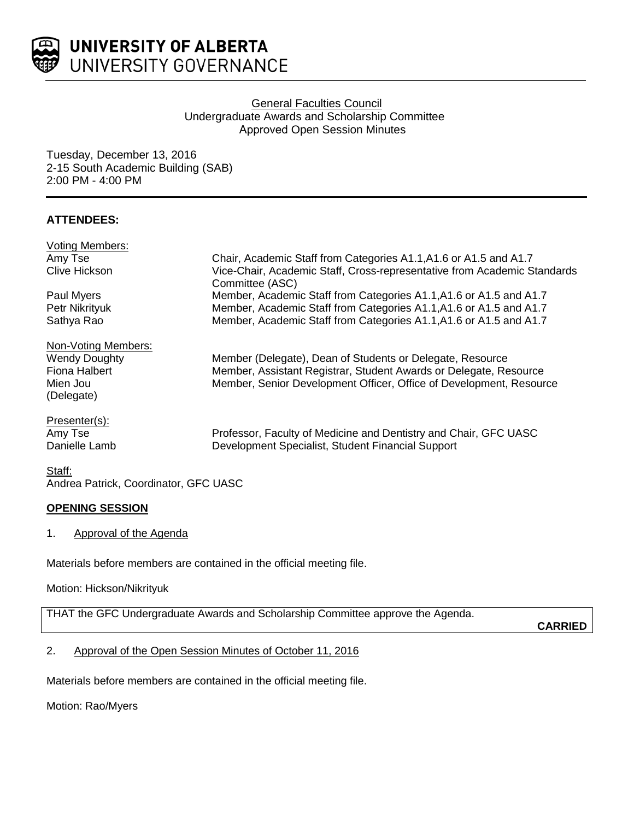

# **General Faculties Council** Undergraduate Awards and Scholarship Committee Approved Open Session Minutes

Tuesday, December 13, 2016 2-15 South Academic Building (SAB) 2:00 PM - 4:00 PM

# **ATTENDEES:**

| <b>Voting Members:</b> |                                                                          |
|------------------------|--------------------------------------------------------------------------|
| Amy Tse                | Chair, Academic Staff from Categories A1.1, A1.6 or A1.5 and A1.7        |
| Clive Hickson          | Vice-Chair, Academic Staff, Cross-representative from Academic Standards |
|                        | Committee (ASC)                                                          |
| Paul Myers             | Member, Academic Staff from Categories A1.1, A1.6 or A1.5 and A1.7       |
| Petr Nikrityuk         | Member, Academic Staff from Categories A1.1, A1.6 or A1.5 and A1.7       |
| Sathya Rao             | Member, Academic Staff from Categories A1.1, A1.6 or A1.5 and A1.7       |
| Non-Voting Members:    |                                                                          |
| <b>Wendy Doughty</b>   | Member (Delegate), Dean of Students or Delegate, Resource                |
| Fiona Halbert          | Member, Assistant Registrar, Student Awards or Delegate, Resource        |
| Mien Jou               | Member, Senior Development Officer, Office of Development, Resource      |
| (Delegate)             |                                                                          |
| Presenter(s):          |                                                                          |
| Amy Tse                | Professor, Faculty of Medicine and Dentistry and Chair, GFC UASC         |
| Danielle Lamb          | Development Specialist, Student Financial Support                        |
| $\sim$ $\sim$          |                                                                          |

Staff: Andrea Patrick, Coordinator, GFC UASC

# **OPENING SESSION**

1. Approval of the Agenda

Materials before members are contained in the official meeting file.

Motion: Hickson/Nikrityuk

THAT the GFC Undergraduate Awards and Scholarship Committee approve the Agenda.

**CARRIED**

# 2. Approval of the Open Session Minutes of October 11, 2016

Materials before members are contained in the official meeting file.

Motion: Rao/Myers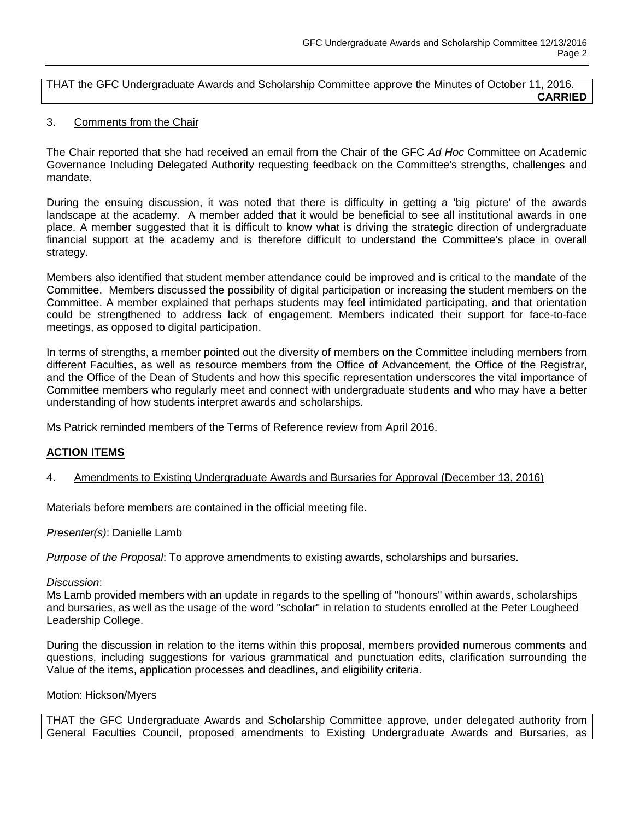THAT the GFC Undergraduate Awards and Scholarship Committee approve the Minutes of October 11, 2016. **CARRIED**

#### 3. Comments from the Chair

The Chair reported that she had received an email from the Chair of the GFC *Ad Hoc* Committee on Academic Governance Including Delegated Authority requesting feedback on the Committee's strengths, challenges and mandate.

During the ensuing discussion, it was noted that there is difficulty in getting a 'big picture' of the awards landscape at the academy. A member added that it would be beneficial to see all institutional awards in one place. A member suggested that it is difficult to know what is driving the strategic direction of undergraduate financial support at the academy and is therefore difficult to understand the Committee's place in overall strategy.

Members also identified that student member attendance could be improved and is critical to the mandate of the Committee. Members discussed the possibility of digital participation or increasing the student members on the Committee. A member explained that perhaps students may feel intimidated participating, and that orientation could be strengthened to address lack of engagement. Members indicated their support for face-to-face meetings, as opposed to digital participation.

In terms of strengths, a member pointed out the diversity of members on the Committee including members from different Faculties, as well as resource members from the Office of Advancement, the Office of the Registrar, and the Office of the Dean of Students and how this specific representation underscores the vital importance of Committee members who regularly meet and connect with undergraduate students and who may have a better understanding of how students interpret awards and scholarships.

Ms Patrick reminded members of the Terms of Reference review from April 2016.

### **ACTION ITEMS**

4. Amendments to Existing Undergraduate Awards and Bursaries for Approval (December 13, 2016)

Materials before members are contained in the official meeting file.

*Presenter(s)*: Danielle Lamb

*Purpose of the Proposal*: To approve amendments to existing awards, scholarships and bursaries.

#### *Discussion*:

Ms Lamb provided members with an update in regards to the spelling of "honours" within awards, scholarships and bursaries, as well as the usage of the word "scholar" in relation to students enrolled at the Peter Lougheed Leadership College.

During the discussion in relation to the items within this proposal, members provided numerous comments and questions, including suggestions for various grammatical and punctuation edits, clarification surrounding the Value of the items, application processes and deadlines, and eligibility criteria.

#### Motion: Hickson/Myers

THAT the GFC Undergraduate Awards and Scholarship Committee approve, under delegated authority from General Faculties Council, proposed amendments to Existing Undergraduate Awards and Bursaries, as